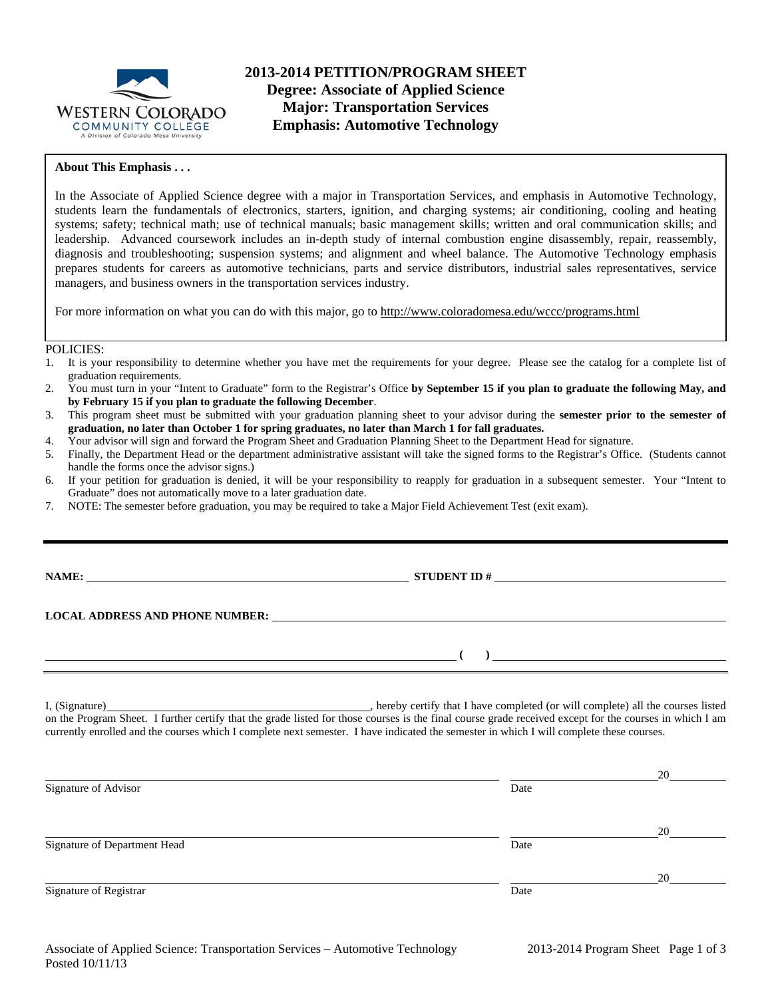

### **About This Emphasis . . .**

In the Associate of Applied Science degree with a major in Transportation Services, and emphasis in Automotive Technology, students learn the fundamentals of electronics, starters, ignition, and charging systems; air conditioning, cooling and heating systems; safety; technical math; use of technical manuals; basic management skills; written and oral communication skills; and leadership. Advanced coursework includes an in-depth study of internal combustion engine disassembly, repair, reassembly, diagnosis and troubleshooting; suspension systems; and alignment and wheel balance. The Automotive Technology emphasis prepares students for careers as automotive technicians, parts and service distributors, industrial sales representatives, service managers, and business owners in the transportation services industry.

For more information on what you can do with this major, go to http://www.coloradomesa.edu/wccc/programs.html

### POLICIES:

- 1. It is your responsibility to determine whether you have met the requirements for your degree. Please see the catalog for a complete list of graduation requirements.
- 2. You must turn in your "Intent to Graduate" form to the Registrar's Office **by September 15 if you plan to graduate the following May, and by February 15 if you plan to graduate the following December**.
- 3. This program sheet must be submitted with your graduation planning sheet to your advisor during the **semester prior to the semester of graduation, no later than October 1 for spring graduates, no later than March 1 for fall graduates.**
- 4. Your advisor will sign and forward the Program Sheet and Graduation Planning Sheet to the Department Head for signature.
- 5. Finally, the Department Head or the department administrative assistant will take the signed forms to the Registrar's Office. (Students cannot handle the forms once the advisor signs.)
- 6. If your petition for graduation is denied, it will be your responsibility to reapply for graduation in a subsequent semester. Your "Intent to Graduate" does not automatically move to a later graduation date.
- 7. NOTE: The semester before graduation, you may be required to take a Major Field Achievement Test (exit exam).

**NAME: STUDENT ID # STUDENT ID # STUDENT ID # STUDENT ID # STUDENT ID # STUDENT ID # STUDENT ID # STUDENT ID # STUDENT ID # STUDENT ID # STUDENT ID # STUDENT ID # STUDENT # STUDENT # STUDENT #** 

 $($   $)$   $)$ 

#### **LOCAL ADDRESS AND PHONE NUMBER:**

I, (Signature) , hereby certify that I have completed (or will complete) all the courses listed on the Program Sheet. I further certify that the grade listed for those courses is the final course grade received except for the courses in which I am currently enrolled and the courses which I complete next semester. I have indicated the semester in which I will complete these courses.

|                              |      | 20 |
|------------------------------|------|----|
| Signature of Advisor         | Date |    |
|                              |      | 20 |
| Signature of Department Head | Date |    |
|                              |      | 20 |
| Signature of Registrar       | Date |    |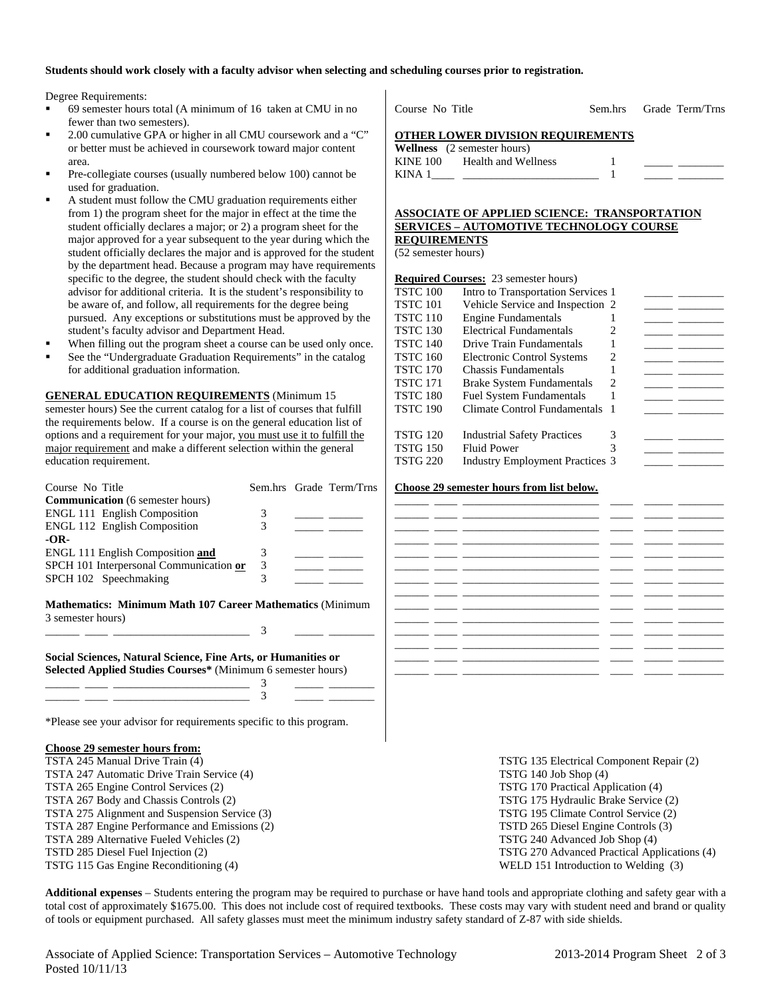#### **Students should work closely with a faculty advisor when selecting and scheduling courses prior to registration.**

Degree Requirements:

- 69 semester hours total (A minimum of 16 taken at CMU in no fewer than two semesters).
- 2.00 cumulative GPA or higher in all CMU coursework and a "C" or better must be achieved in coursework toward major content area.
- Pre-collegiate courses (usually numbered below 100) cannot be used for graduation.
- A student must follow the CMU graduation requirements either from 1) the program sheet for the major in effect at the time the student officially declares a major; or 2) a program sheet for the major approved for a year subsequent to the year during which the student officially declares the major and is approved for the student by the department head. Because a program may have requirements specific to the degree, the student should check with the faculty advisor for additional criteria. It is the student's responsibility to be aware of, and follow, all requirements for the degree being pursued. Any exceptions or substitutions must be approved by the student's faculty advisor and Department Head.
- When filling out the program sheet a course can be used only once.
- See the "Undergraduate Graduation Requirements" in the catalog for additional graduation information.

**GENERAL EDUCATION REQUIREMENTS** (Minimum 15 semester hours) See the current catalog for a list of courses that fulfill the requirements below. If a course is on the general education list of options and a requirement for your major, you must use it to fulfill the major requirement and make a different selection within the general education requirement.

| Course No Title                                                                       |   |  | Sem.hrs Grade Term/Trns |  |  |  |  |
|---------------------------------------------------------------------------------------|---|--|-------------------------|--|--|--|--|
| <b>Communication</b> (6 semester hours)                                               |   |  |                         |  |  |  |  |
| <b>ENGL 111 English Composition</b>                                                   | 3 |  |                         |  |  |  |  |
| <b>ENGL 112 English Composition</b>                                                   | 3 |  |                         |  |  |  |  |
| $-OR-$                                                                                |   |  |                         |  |  |  |  |
| ENGL 111 English Composition and                                                      | 3 |  |                         |  |  |  |  |
| SPCH 101 Interpersonal Communication or                                               | 3 |  |                         |  |  |  |  |
| SPCH 102 Speechmaking                                                                 | 3 |  |                         |  |  |  |  |
| <b>Mathematics: Minimum Math 107 Career Mathematics (Minimum</b><br>3 semester hours) |   |  |                         |  |  |  |  |
|                                                                                       | 3 |  |                         |  |  |  |  |

**Social Sciences, Natural Science, Fine Arts, or Humanities or Selected Applied Studies Courses\*** (Minimum 6 semester hours) \_\_\_\_\_\_ \_\_\_\_ \_\_\_\_\_\_\_\_\_\_\_\_\_\_\_\_\_\_\_\_\_\_\_\_ 3 \_\_\_\_\_ \_\_\_\_\_\_\_\_

\*Please see your advisor for requirements specific to this program.

\_\_\_\_\_\_ \_\_\_\_ \_\_\_\_\_\_\_\_\_\_\_\_\_\_\_\_\_\_\_\_\_\_\_\_ 3 \_\_\_\_\_ \_\_\_\_\_\_\_\_

### **Choose 29 semester hours from:**

TSTA 245 Manual Drive Train (4) TSTG 135 Electrical Component Repair (2) TSTA 247 Automatic Drive Train Service (4) TSTG 140 Job Shop (4) TSTA 265 Engine Control Services (2) TSTG 170 Practical Application (4) TSTA 267 Body and Chassis Controls (2) TSTG 175 Hydraulic Brake Service (2) TSTA 275 Alignment and Suspension Service (3) TSTG 195 Climate Control Service (2)<br>TSTA 287 Engine Performance and Emissions (2) TSTD 265 Diesel Engine Controls (3) TSTA 287 Engine Performance and Emissions (2) TSTA 289 Alternative Fueled Vehicles (2) TSTG 240 Advanced Job Shop (4) TSTD 285 Diesel Fuel Injection (2) TSTG 270 Advanced Practical Applications (4) TSTG 115 Gas Engine Reconditioning (4) WELD 151 Introduction to Welding (3)

Course No Title Sem.hrs Grade Term/Trns

### **OTHER LOWER DIVISION REQUIREMENTS**

|          | <b>Wellness</b> (2 semester hours) |  |
|----------|------------------------------------|--|
| KINE 100 | Health and Wellness                |  |
| KINA 1   |                                    |  |

## **ASSOCIATE OF APPLIED SCIENCE: TRANSPORTATION SERVICES – AUTOMOTIVE TECHNOLOGY COURSE REQUIREMENTS**

(52 semester hours)

# **Required Courses:** 23 semester hours)

| TSTC 100        | Intro to Transportation Services 1     |                             |  |
|-----------------|----------------------------------------|-----------------------------|--|
| TSTC 101        | Vehicle Service and Inspection 2       |                             |  |
| TSTC 110        | <b>Engine Fundamentals</b>             |                             |  |
| TSTC 130        | Electrical Fundamentals                | 2                           |  |
| TSTC 140        | Drive Train Fundamentals               |                             |  |
| <b>TSTC 160</b> | Electronic Control Systems             | 2                           |  |
| TSTC 170        | Chassis Fundamentals                   |                             |  |
| TSTC 171        | <b>Brake System Fundamentals</b>       | $\mathcal{D}_{\mathcal{L}}$ |  |
| TSTC 180        | <b>Fuel System Fundamentals</b>        |                             |  |
| TSTC 190        | Climate Control Fundamentals 1         |                             |  |
|                 |                                        |                             |  |
| TSTG 120        | <b>Industrial Safety Practices</b>     | 3                           |  |
| TSTG 150        | <b>Fluid Power</b>                     |                             |  |
| TSTG 220        | <b>Industry Employment Practices 3</b> |                             |  |

#### **Choose 29 semester hours from list below.**

|        |         |                                                 |  | the company of the company of     |
|--------|---------|-------------------------------------------------|--|-----------------------------------|
|        |         |                                                 |  |                                   |
|        |         |                                                 |  |                                   |
|        |         |                                                 |  |                                   |
|        |         |                                                 |  |                                   |
|        |         |                                                 |  | the contract of the contract of   |
|        |         |                                                 |  | the control of the control of the |
|        |         |                                                 |  |                                   |
| ______ |         | the contract of the contract of the contract of |  |                                   |
|        |         | <b>Contract Contract Contract Contract</b>      |  |                                   |
|        | __ ____ |                                                 |  |                                   |

**Additional expenses** – Students entering the program may be required to purchase or have hand tools and appropriate clothing and safety gear with a total cost of approximately \$1675.00. This does not include cost of required textbooks. These costs may vary with student need and brand or quality of tools or equipment purchased. All safety glasses must meet the minimum industry safety standard of Z-87 with side shields.